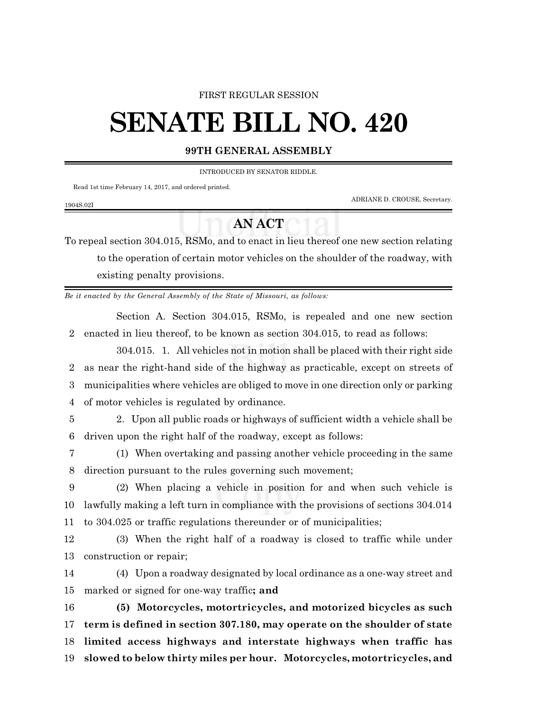## FIRST REGULAR SESSION

## **SENATE BILL NO. 420**

## **99TH GENERAL ASSEMBLY**

INTRODUCED BY SENATOR RIDDLE.

Read 1st time February 14, 2017, and ordered printed.

1904S.02I

ADRIANE D. CROUSE, Secretary.

## **AN ACT**

To repeal section 304.015, RSMo, and to enact in lieu thereof one new section relating to the operation of certain motor vehicles on the shoulder of the roadway, with existing penalty provisions.

*Be it enacted by the General Assembly of the State of Missouri, as follows:*

Section A. Section 304.015, RSMo, is repealed and one new section 2 enacted in lieu thereof, to be known as section 304.015, to read as follows:

304.015. 1. All vehicles not in motion shall be placed with their right side as near the right-hand side of the highway as practicable, except on streets of municipalities where vehicles are obliged to move in one direction only or parking of motor vehicles is regulated by ordinance.

5 2. Upon all public roads or highways of sufficient width a vehicle shall be 6 driven upon the right half of the roadway, except as follows:

7 (1) When overtaking and passing another vehicle proceeding in the same 8 direction pursuant to the rules governing such movement;

9 (2) When placing a vehicle in position for and when such vehicle is 10 lawfully making a left turn in compliance with the provisions of sections 304.014 11 to 304.025 or traffic regulations thereunder or of municipalities;

12 (3) When the right half of a roadway is closed to traffic while under 13 construction or repair;

14 (4) Upon a roadway designated by local ordinance as a one-way street and 15 marked or signed for one-way traffic**; and**

 **(5) Motorcycles, motortricycles, and motorized bicycles as such term is defined in section 307.180, may operate on the shoulder of state limited access highways and interstate highways when traffic has slowed to below thirty miles per hour. Motorcycles, motortricycles, and**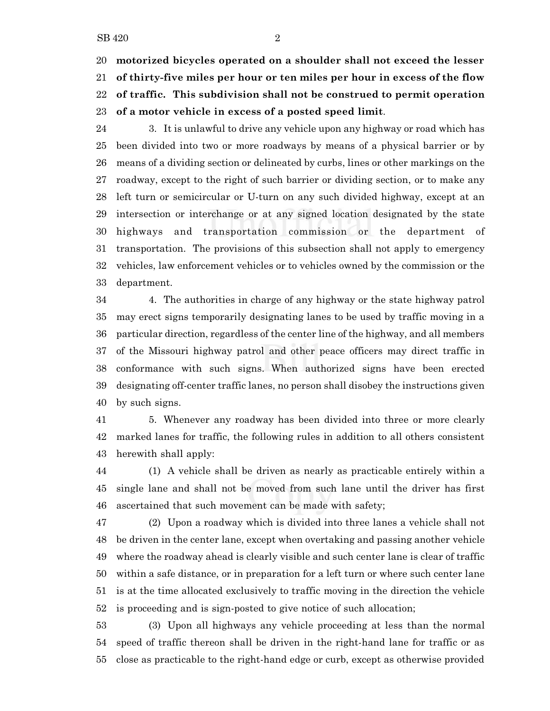**motorized bicycles operated on a shoulder shall not exceed the lesser of thirty-five miles per hour or ten miles per hour in excess of the flow of traffic. This subdivision shall not be construed to permit operation of a motor vehicle in excess of a posted speed limit**.

 3. It is unlawful to drive any vehicle upon any highway or road which has been divided into two or more roadways by means of a physical barrier or by means of a dividing section or delineated by curbs, lines or other markings on the roadway, except to the right of such barrier or dividing section, or to make any left turn or semicircular or U-turn on any such divided highway, except at an intersection or interchange or at any signed location designated by the state highways and transportation commission or the department of transportation. The provisions of this subsection shall not apply to emergency vehicles, law enforcement vehicles or to vehicles owned by the commission or the department.

 4. The authorities in charge of any highway or the state highway patrol may erect signs temporarily designating lanes to be used by traffic moving in a particular direction, regardless of the center line of the highway, and all members of the Missouri highway patrol and other peace officers may direct traffic in conformance with such signs. When authorized signs have been erected designating off-center traffic lanes, no person shall disobey the instructions given by such signs.

 5. Whenever any roadway has been divided into three or more clearly marked lanes for traffic, the following rules in addition to all others consistent herewith shall apply:

 (1) A vehicle shall be driven as nearly as practicable entirely within a single lane and shall not be moved from such lane until the driver has first ascertained that such movement can be made with safety;

 (2) Upon a roadway which is divided into three lanes a vehicle shall not be driven in the center lane, except when overtaking and passing another vehicle where the roadway ahead is clearly visible and such center lane is clear of traffic within a safe distance, or in preparation for a left turn or where such center lane is at the time allocated exclusively to traffic moving in the direction the vehicle is proceeding and is sign-posted to give notice of such allocation;

 (3) Upon all highways any vehicle proceeding at less than the normal speed of traffic thereon shall be driven in the right-hand lane for traffic or as close as practicable to the right-hand edge or curb, except as otherwise provided